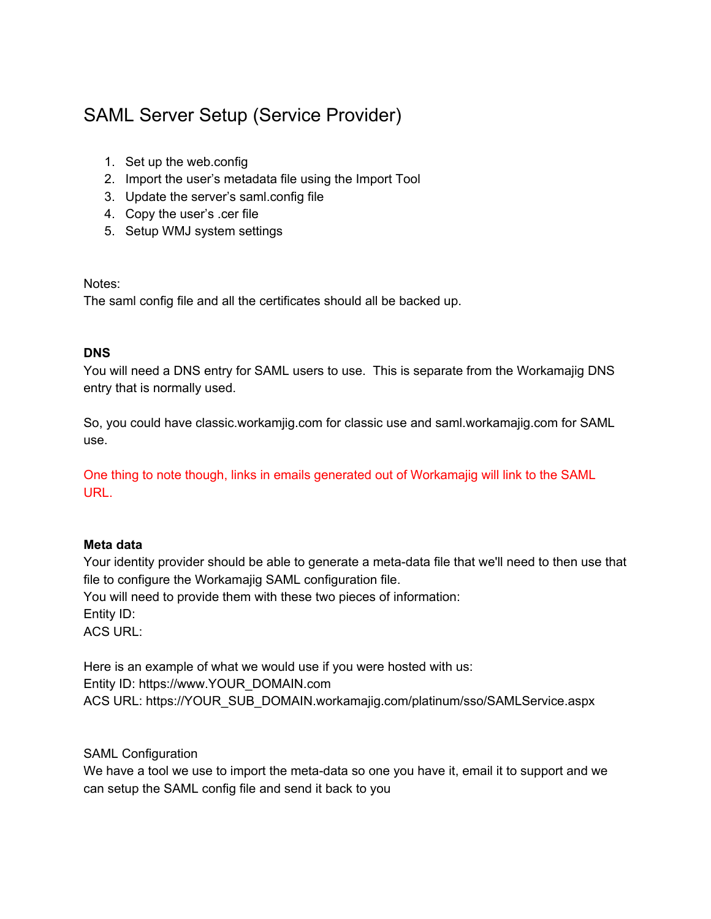## SAML Server Setup (Service Provider)

- 1. Set up the web.config
- 2. Import the user's metadata file using the Import Tool
- 3. Update the server's saml.config file
- 4. Copy the user's .cer file
- 5. Setup WMJ system settings

#### Notes:

The saml config file and all the certificates should all be backed up.

#### **DNS**

You will need a DNS entry for SAML users to use. This is separate from the Workamajig DNS entry that is normally used.

So, you could have classic.workamjig.com for classic use and saml.workamajig.com for SAML use.

One thing to note though, links in emails generated out of Workamajig will link to the SAML URL.

#### **Meta data**

Your identity provider should be able to generate a meta-data file that we'll need to then use that file to configure the Workamajig SAML configuration file. You will need to provide them with these two pieces of information: Entity ID: ACS URL:

Here is an example of what we would use if you were hosted with us: Entity ID: https://www.YOUR\_DOMAIN.com ACS URL: https://YOUR\_SUB\_DOMAIN.workamajig.com/platinum/sso/SAMLService.aspx

SAML Configuration

We have a tool we use to import the meta-data so one you have it, email it to support and we can setup the SAML config file and send it back to you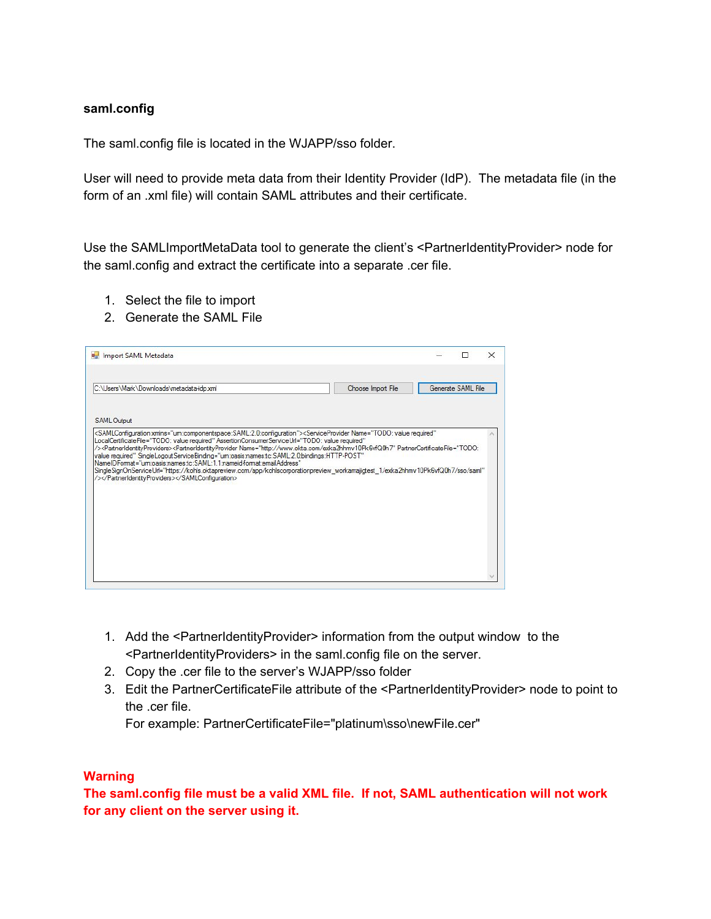#### **saml.config**

The saml.config file is located in the WJAPP/sso folder.

User will need to provide meta data from their Identity Provider (IdP). The metadata file (in the form of an .xml file) will contain SAML attributes and their certificate.

Use the SAMLImportMetaData tool to generate the client's <PartnerIdentityProvider> node for the saml.config and extract the certificate into a separate .cer file.

- 1. Select the file to import
- 2. Generate the SAML File

| <b>PH</b> Import SAML Metadata                                                                                                                                                                                                                                                                                                                                                                                                                                                                                                                                                                                                                                                                                                                                                                            |                    |                    | × |
|-----------------------------------------------------------------------------------------------------------------------------------------------------------------------------------------------------------------------------------------------------------------------------------------------------------------------------------------------------------------------------------------------------------------------------------------------------------------------------------------------------------------------------------------------------------------------------------------------------------------------------------------------------------------------------------------------------------------------------------------------------------------------------------------------------------|--------------------|--------------------|---|
| C:\Users\Mark\Downloads\metadata-idp.xml                                                                                                                                                                                                                                                                                                                                                                                                                                                                                                                                                                                                                                                                                                                                                                  | Choose Import File | Generate SAML File |   |
| <b>SAML Output</b>                                                                                                                                                                                                                                                                                                                                                                                                                                                                                                                                                                                                                                                                                                                                                                                        |                    |                    |   |
| <samlconfiguration xmlns="um:componentspace:SAML:2.0:configuration"><serviceprovider <br="" name="TODO: value required">"LocalCertificateFile="TODO: value required" AssertionConsumerServiceUrl="TODO: value required<br/>/&gt;<partneridentityproviders><partneridentityprovider <br="" name="http://www.okta.com/exka2hhmv10Pk6vfQ0h7" partnercertificatefile="TODO:&lt;br&gt;value required" singlelogoutservicebinding="um:oasis:names.tc:SAML:2.0:bindings:HTTP-POST">Name ID Format = "um : oasis : names to: SAML: 1.1 name id format : email Address"<br/>SingleSignOnServiceUrl="https://kohls.oktapreview.com/app/kohlscorporationpreview_workamajigtest_1/exka2hhmv10Pk6vfQ0h7/sso/saml"<br/>/&gt;</partneridentityprovider></partneridentityproviders></serviceprovider></samlconfiguration> |                    |                    |   |

- 1. Add the <PartnerIdentityProvider> information from the output window to the <PartnerIdentityProviders> in the saml.config file on the server.
- 2. Copy the .cer file to the server's WJAPP/sso folder
- 3. Edit the PartnerCertificateFile attribute of the <PartnerIdentityProvider> node to point to the .cer file.

For example: PartnerCertificateFile="platinum\sso\newFile.cer"

#### **Warning**

**The saml.config file must be a valid XML file. If not, SAML authentication will not work for any client on the server using it.**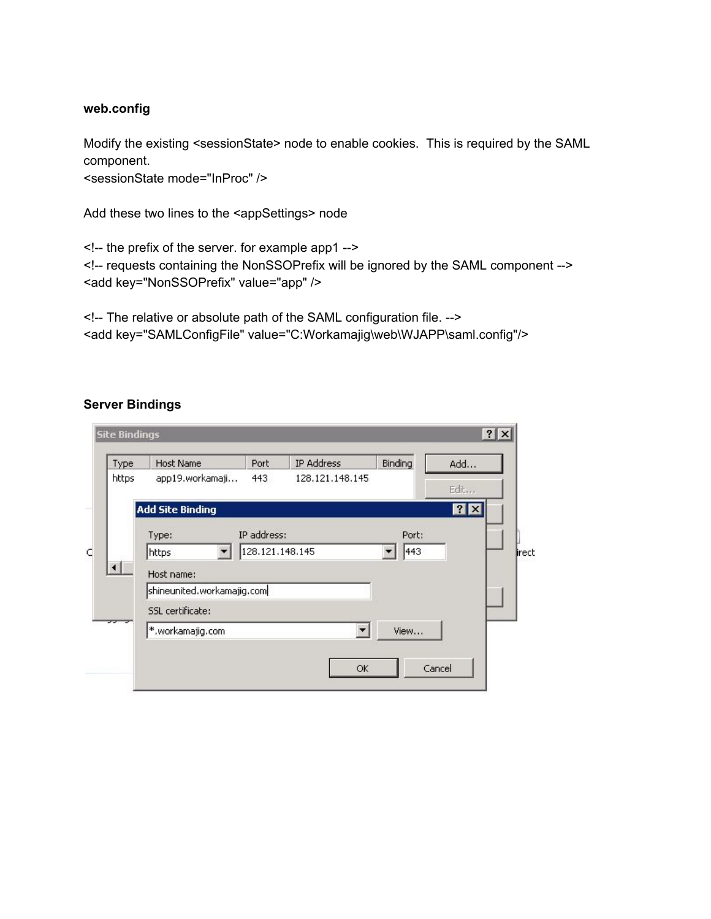#### **web.config**

Modify the existing <sessionState> node to enable cookies. This is required by the SAML component.

<sessionState mode="InProc" />

Add these two lines to the <appSettings> node

<!-- the prefix of the server. for example app1 --> <!-- requests containing the NonSSOPrefix will be ignored by the SAML component --> <add key="NonSSOPrefix" value="app" />

<!-- The relative or absolute path of the SAML configuration file. --> <add key="SAMLConfigFile" value="C:Workamajig\web\WJAPP\saml.config"/>

#### **Server Bindings**

| Type  | <b>Host Name</b>           | Port            | IP Address      | Binding | Add  |
|-------|----------------------------|-----------------|-----------------|---------|------|
| https | app19.workamaji            | 443             | 128.121.148.145 |         | Edit |
|       | <b>Add Site Binding</b>    |                 |                 |         | 7x   |
|       | Type:                      | IP address:     |                 | Port:   |      |
|       | https                      | 128.121.148.145 |                 | 443     |      |
|       | Host name:                 |                 |                 |         |      |
|       | shineunited.workamajig.com |                 |                 |         |      |
|       | SSL certificate:           |                 |                 |         |      |
| ᆓ     | *.workamajig.com           |                 | ▼               | View    |      |
|       |                            |                 |                 |         |      |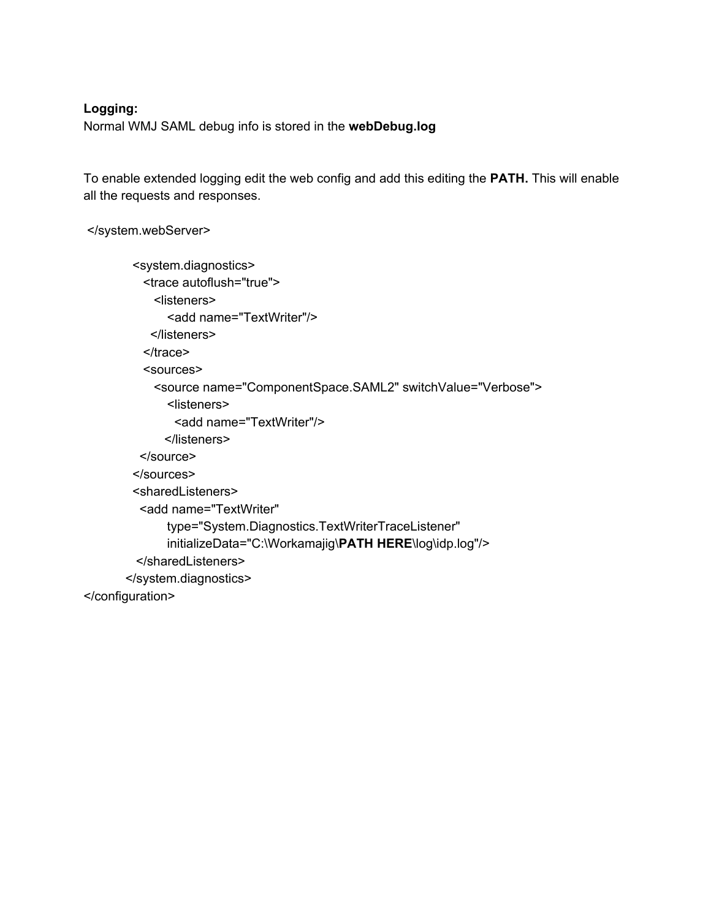#### **Logging:**

Normal WMJ SAML debug info is stored in the **webDebug.log**

To enable extended logging edit the web config and add this editing the **PATH.** This will enable all the requests and responses.

</system.webServer>

<system.diagnostics> <trace autoflush="true"> <listeners> <add name="TextWriter"/> </listeners> </trace> <sources> <source name="ComponentSpace.SAML2" switchValue="Verbose"> <listeners> <add name="TextWriter"/> </listeners> </source> </sources> <sharedListeners> <add name="TextWriter" type="System.Diagnostics.TextWriterTraceListener" initializeData="C:\Workamajig\**PATH HERE**\log\idp.log"/> </sharedListeners> </system.diagnostics> </configuration>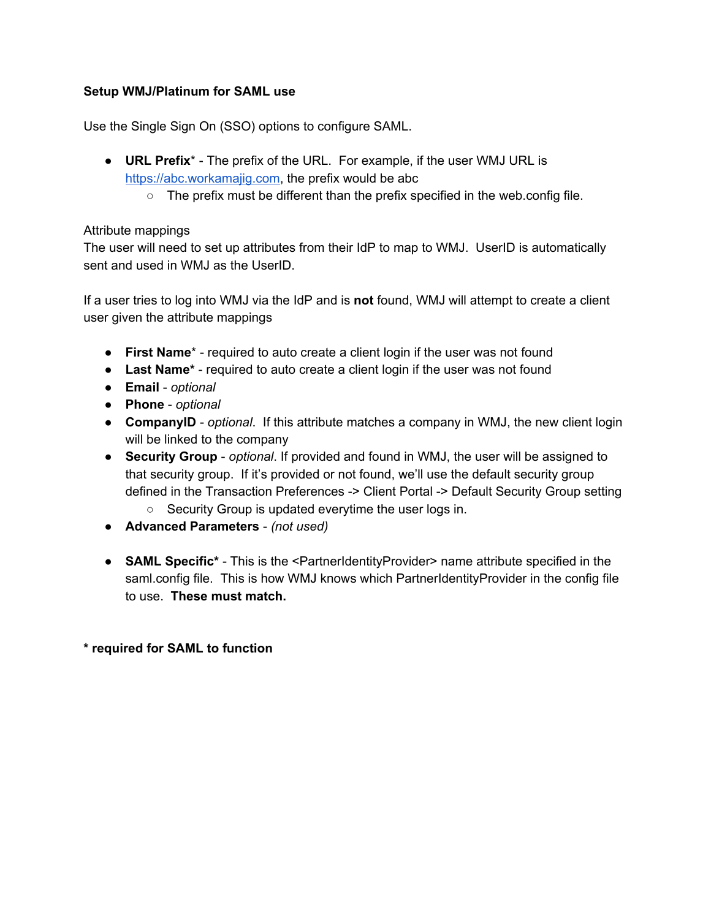#### **Setup WMJ/Platinum for SAML use**

Use the Single Sign On (SSO) options to configure SAML.

- **URL Prefix**\* The prefix of the URL. For example, if the user WMJ URL is [https://abc.workamajig.com,](https://abc.workamajig.com/) the prefix would be abc
	- $\circ$  The prefix must be different than the prefix specified in the web.config file.

#### Attribute mappings

The user will need to set up attributes from their IdP to map to WMJ. UserID is automatically sent and used in WMJ as the UserID.

If a user tries to log into WMJ via the IdP and is **not** found, WMJ will attempt to create a client user given the attribute mappings

- **First Name**\* required to auto create a client login if the user was not found
- **Last Name\*** required to auto create a client login if the user was not found
- **Email** *optional*
- **Phone** *optional*
- **CompanyID** *optional*. If this attribute matches a company in WMJ, the new client login will be linked to the company
- **Security Group** *optional*. If provided and found in WMJ, the user will be assigned to that security group. If it's provided or not found, we'll use the default security group defined in the Transaction Preferences -> Client Portal -> Default Security Group setting
	- Security Group is updated everytime the user logs in.
- **Advanced Parameters** *(not used)*
- **SAML Specific\*** This is the <PartnerIdentityProvider> name attribute specified in the saml.config file. This is how WMJ knows which PartnerIdentityProvider in the config file to use. **These must match.**

**\* required for SAML to function**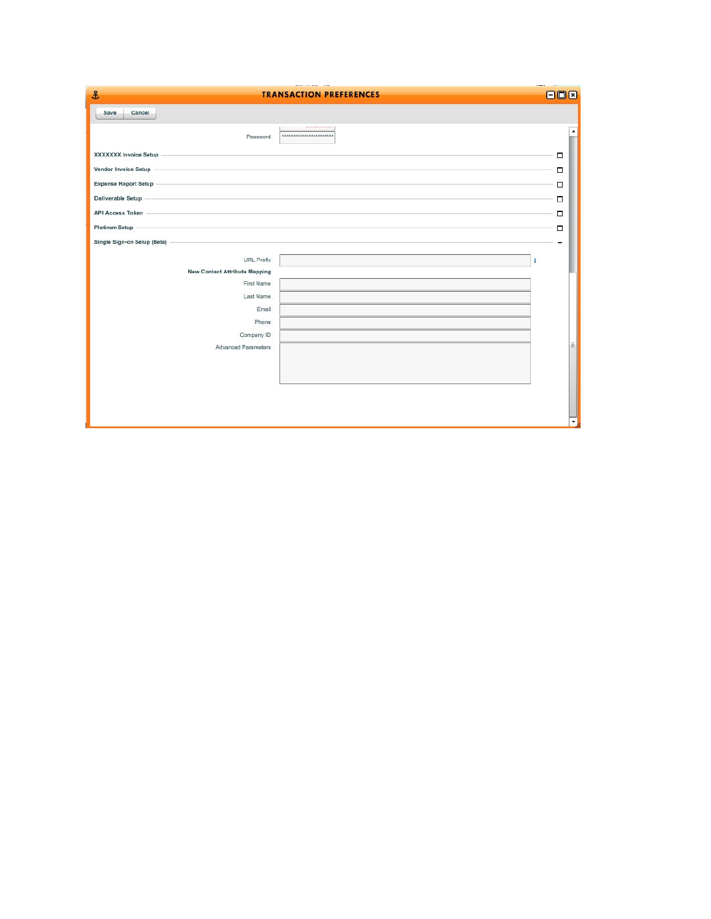| $\frac{2}{3}$                        | <b>TRANSACTION PREFERENCES</b>           | $--$<br>800 |
|--------------------------------------|------------------------------------------|-------------|
| Save<br>Cancel                       |                                          |             |
| Password                             | ------------<br>************************ |             |
| <b>XXXXXXX Invoice Setup</b>         |                                          | □           |
| Vendor Invoice Setup                 |                                          | $\Box$      |
| <b>Expense Report Setup</b>          |                                          | □           |
| Deliverable Setup                    |                                          | о           |
| API Access Token                     |                                          | П           |
| Platinum Setup -                     |                                          | $\Box$      |
| Single Sign-on Setup (Beta)          |                                          |             |
| URL Prefix                           |                                          | H           |
| <b>New Contact Attribute Mapping</b> |                                          |             |
| First Name                           |                                          |             |
| Last Name                            |                                          |             |
| Email                                |                                          |             |
| Phone                                |                                          |             |
| Company ID                           |                                          |             |
| Advanced Parameters                  |                                          | Ē.          |
|                                      |                                          |             |
|                                      |                                          |             |
|                                      |                                          |             |
|                                      |                                          |             |
|                                      |                                          | ۰           |